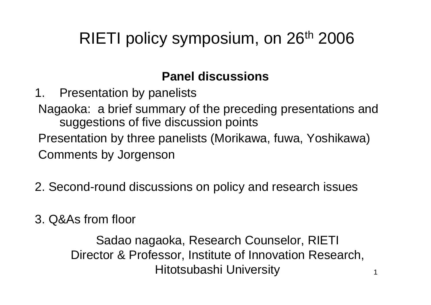### RIETI policy symposium, on 26<sup>th</sup> 2006

#### **Panel discussions**

- 1. Presentation by panelists
- Nagaoka: a brief summary of the preceding presentations and suggestions of five discussion points
- Presentation by three panelists (Morikawa, fuwa, Yoshikawa) Comments by Jorgenson
- 2. Second-round discussions on policy and research issues
- 3. Q&As from floor

Sadao nagaoka, Research Counselor, RIETI Director & Professor, Institute of Innovation Research, Hitotsubashi University

1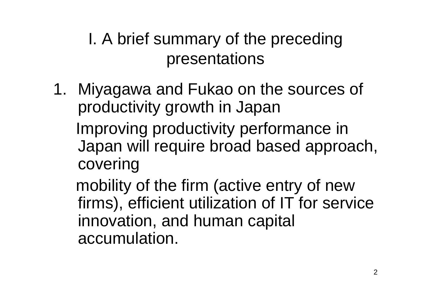I. A brief summary of the preceding presentations

1. Miyagawa and Fukao on the sources of productivity growth in Japan

Improving productivity performance in Japan will require broad based approach, covering

mobility of the firm (active entry of new firms), efficient utilization of IT for service innovation, and human capital accumulation.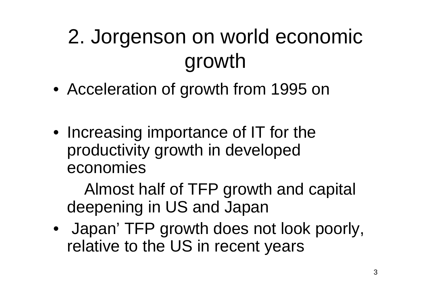## 2. Jorgenson on world economic growth

- Acceleration of growth from 1995 on
- Increasing importance of IT for the productivity growth in developed economies

Almost half of TFP growth and capital deepening in US and Japan

• Japan' TFP growth does not look poorly, relative to the US in recent years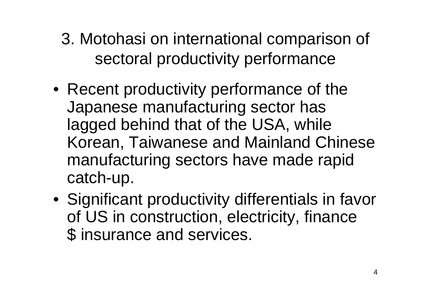- 3. Motohasi on international comparison of sectoral productivity performance
- Recent productivity performance of the Japanese manufacturing sector has lagged behind that of the USA, while Korean, Taiwanese and Mainland Chinese manufacturing sectors have made rapid catch-up.
- Significant productivity differentials in favor of US in construction, electricity, finance \$ insurance and services.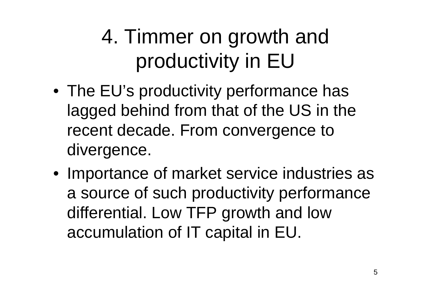### 4. Timmer on growth and productivity in EU

- The EU's productivity performance has lagged behind from that of the US in the recent decade. From convergence to divergence.
- Importance of market service industries as a source of such productivity performance differential. Low TFP growth and low accumulation of IT capital in EU.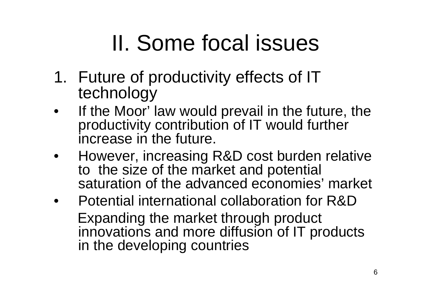# II. Some focal issues

- 1. Future of productivity effects of IT technology
- • If the Moor' law would prevail in the future, the productivity contribution of IT would further increase in the future.
- • However, increasing R&D cost burden relative to the size of the market and potential saturation of the advanced economies' market
- • Potential international collaboration for R&DExpanding the market through product innovations and more diffusion of IT products in the developing countries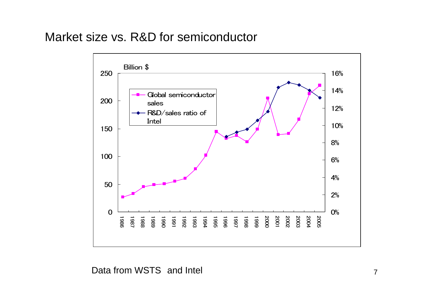#### Market size vs. R&D for semiconductor



Data from WSTS and Intel 7 and 7 and 7 and 7 and 7 and 7 and 7 and 7 and 7 and 7 and 7 and 7 and 7 and 7 and 7 and 7 and 7 and 7 and 7 and 7 and 7 and 7 and 7 and 7 and 7 and 7 and 7 and 7 and 7 and 7 and 7 and 7 and 7 and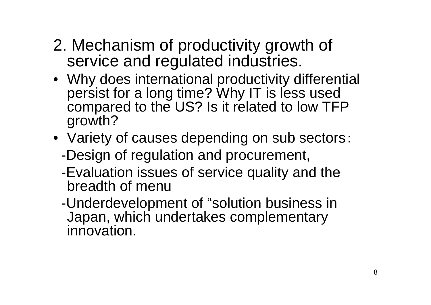- 2. Mechanism of productivity growth of service and regulated industries.
- Why does international productivity differential persist for a long time? Why IT is less used compared to the US? Is it related to low TFP growth?
- Variety of causes depending on sub sectors:
	- -Design of regulation and procurement,
	- -Evaluation issues of service quality and the breadth of menu
	- -Underdevelopment of "solution business in Japan, which undertakes complementary innovation.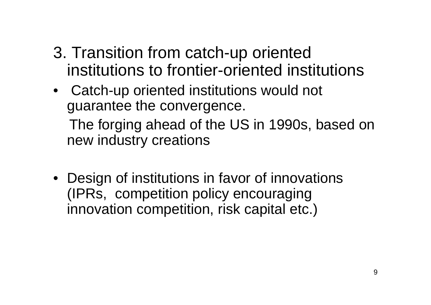- 3. Transition from catch-up oriented institutions to frontier-oriented institutions
- • Catch-up oriented institutions would not guarantee the convergence. The forging ahead of the US in 1990s, based on new industry creations
- Design of institutions in favor of innovations (IPRs, competition policy encouraging innovation competition, risk capital etc.)